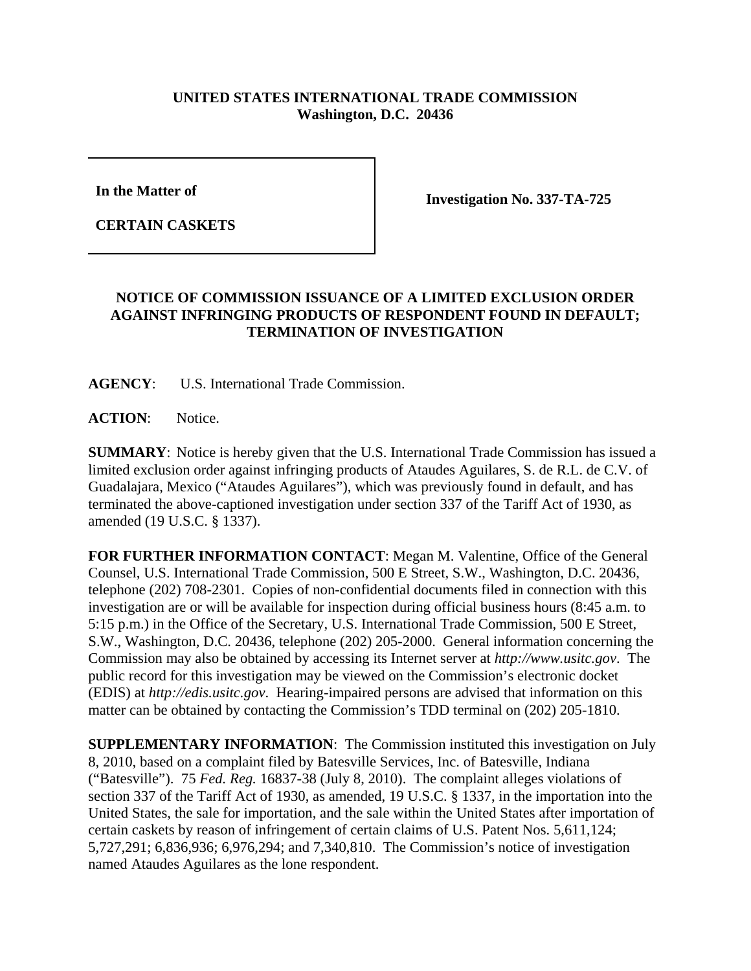## **UNITED STATES INTERNATIONAL TRADE COMMISSION Washington, D.C. 20436**

**In the Matter of** 

**CERTAIN CASKETS**

**Investigation No. 337-TA-725**

## **NOTICE OF COMMISSION ISSUANCE OF A LIMITED EXCLUSION ORDER AGAINST INFRINGING PRODUCTS OF RESPONDENT FOUND IN DEFAULT; TERMINATION OF INVESTIGATION**

**AGENCY**: U.S. International Trade Commission.

**ACTION**: Notice.

**SUMMARY**: Notice is hereby given that the U.S. International Trade Commission has issued a limited exclusion order against infringing products of Ataudes Aguilares, S. de R.L. de C.V. of Guadalajara, Mexico ("Ataudes Aguilares"), which was previously found in default, and has terminated the above-captioned investigation under section 337 of the Tariff Act of 1930, as amended (19 U.S.C. § 1337).

**FOR FURTHER INFORMATION CONTACT**: Megan M. Valentine, Office of the General Counsel, U.S. International Trade Commission, 500 E Street, S.W., Washington, D.C. 20436, telephone (202) 708-2301. Copies of non-confidential documents filed in connection with this investigation are or will be available for inspection during official business hours (8:45 a.m. to 5:15 p.m.) in the Office of the Secretary, U.S. International Trade Commission, 500 E Street, S.W., Washington, D.C. 20436, telephone (202) 205-2000. General information concerning the Commission may also be obtained by accessing its Internet server at *http://www.usitc.gov*. The public record for this investigation may be viewed on the Commission's electronic docket (EDIS) at *http://edis.usitc.gov*. Hearing-impaired persons are advised that information on this matter can be obtained by contacting the Commission's TDD terminal on (202) 205-1810.

**SUPPLEMENTARY INFORMATION**: The Commission instituted this investigation on July 8, 2010, based on a complaint filed by Batesville Services, Inc. of Batesville, Indiana ("Batesville"). 75 *Fed. Reg.* 16837-38 (July 8, 2010). The complaint alleges violations of section 337 of the Tariff Act of 1930, as amended, 19 U.S.C. § 1337, in the importation into the United States, the sale for importation, and the sale within the United States after importation of certain caskets by reason of infringement of certain claims of U.S. Patent Nos. 5,611,124; 5,727,291; 6,836,936; 6,976,294; and 7,340,810. The Commission's notice of investigation named Ataudes Aguilares as the lone respondent.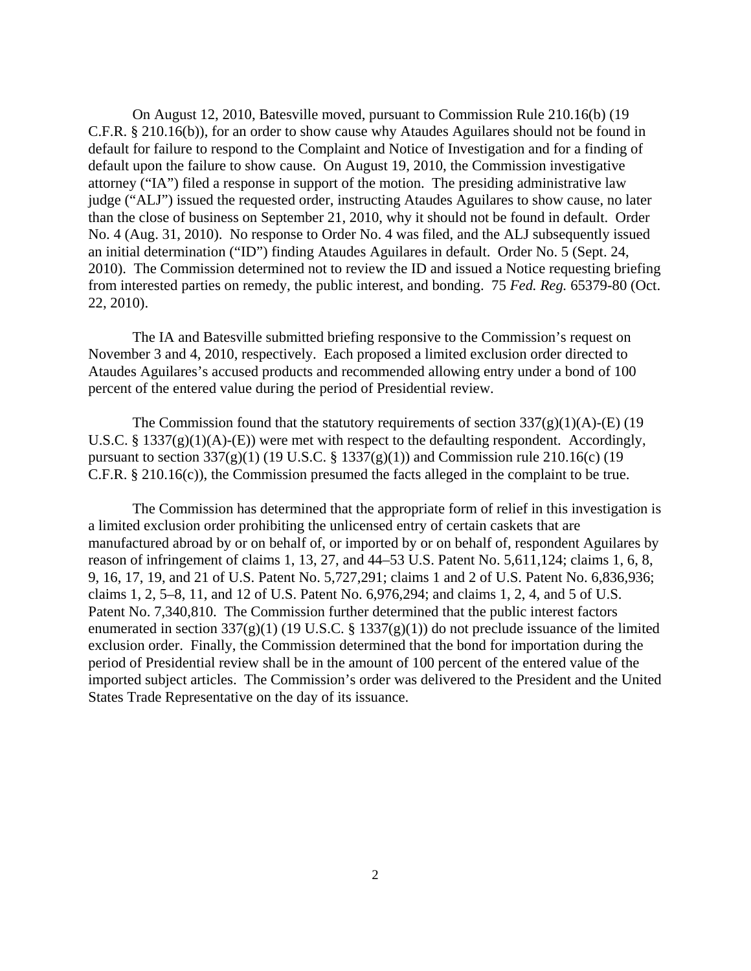On August 12, 2010, Batesville moved, pursuant to Commission Rule 210.16(b) (19 C.F.R. § 210.16(b)), for an order to show cause why Ataudes Aguilares should not be found in default for failure to respond to the Complaint and Notice of Investigation and for a finding of default upon the failure to show cause. On August 19, 2010, the Commission investigative attorney ("IA") filed a response in support of the motion. The presiding administrative law judge ("ALJ") issued the requested order, instructing Ataudes Aguilares to show cause, no later than the close of business on September 21, 2010, why it should not be found in default. Order No. 4 (Aug. 31, 2010). No response to Order No. 4 was filed, and the ALJ subsequently issued an initial determination ("ID") finding Ataudes Aguilares in default. Order No. 5 (Sept. 24, 2010). The Commission determined not to review the ID and issued a Notice requesting briefing from interested parties on remedy, the public interest, and bonding. 75 *Fed. Reg.* 65379-80 (Oct. 22, 2010).

The IA and Batesville submitted briefing responsive to the Commission's request on November 3 and 4, 2010, respectively. Each proposed a limited exclusion order directed to Ataudes Aguilares's accused products and recommended allowing entry under a bond of 100 percent of the entered value during the period of Presidential review.

The Commission found that the statutory requirements of section  $337(g)(1)(A)$ -(E) (19 U.S.C. §  $1337(g)(1)(A)$ -(E)) were met with respect to the defaulting respondent. Accordingly, pursuant to section 337(g)(1) (19 U.S.C. § 1337(g)(1)) and Commission rule 210.16(c) (19 C.F.R. § 210.16(c)), the Commission presumed the facts alleged in the complaint to be true.

The Commission has determined that the appropriate form of relief in this investigation is a limited exclusion order prohibiting the unlicensed entry of certain caskets that are manufactured abroad by or on behalf of, or imported by or on behalf of, respondent Aguilares by reason of infringement of claims 1, 13, 27, and 44–53 U.S. Patent No. 5,611,124; claims 1, 6, 8, 9, 16, 17, 19, and 21 of U.S. Patent No. 5,727,291; claims 1 and 2 of U.S. Patent No. 6,836,936; claims 1, 2, 5–8, 11, and 12 of U.S. Patent No. 6,976,294; and claims 1, 2, 4, and 5 of U.S. Patent No. 7,340,810. The Commission further determined that the public interest factors enumerated in section  $337(g)(1)$  (19 U.S.C. § 1337(g)(1)) do not preclude issuance of the limited exclusion order. Finally, the Commission determined that the bond for importation during the period of Presidential review shall be in the amount of 100 percent of the entered value of the imported subject articles. The Commission's order was delivered to the President and the United States Trade Representative on the day of its issuance.